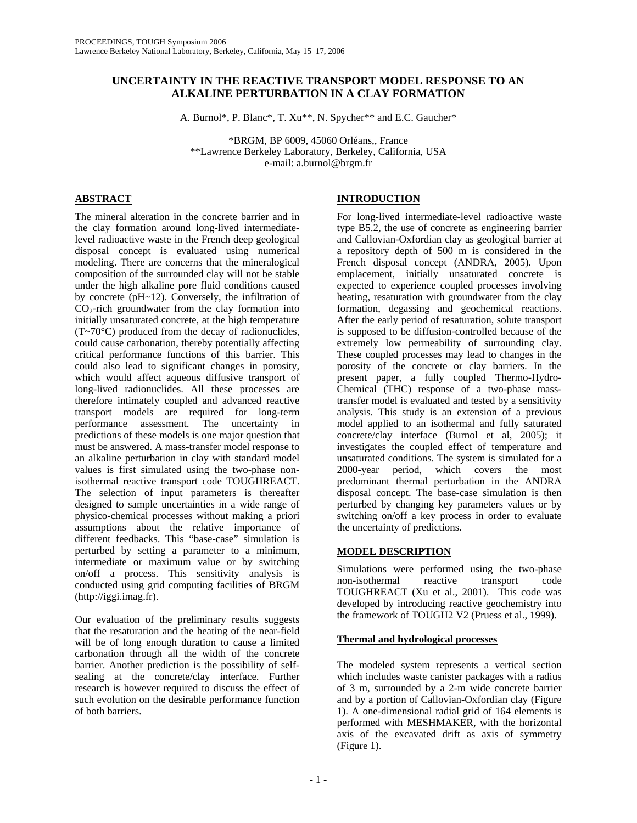## **UNCERTAINTY IN THE REACTIVE TRANSPORT MODEL RESPONSE TO AN ALKALINE PERTURBATION IN A CLAY FORMATION**

A. Burnol\*, P. Blanc\*, T. Xu\*\*, N. Spycher\*\* and E.C. Gaucher\*

\*BRGM, BP 6009, 45060 Orléans,, France \*\*Lawrence Berkeley Laboratory, Berkeley, California, USA e-mail: a.burnol@brgm.fr

## **ABSTRACT**

The mineral alteration in the concrete barrier and in the clay formation around long-lived intermediatelevel radioactive waste in the French deep geological disposal concept is evaluated using numerical modeling. There are concerns that the mineralogical composition of the surrounded clay will not be stable under the high alkaline pore fluid conditions caused by concrete (pH~12). Conversely, the infiltration of  $CO<sub>2</sub>$ -rich groundwater from the clay formation into initially unsaturated concrete, at the high temperature (T~70°C) produced from the decay of radionuclides, could cause carbonation, thereby potentially affecting critical performance functions of this barrier. This could also lead to significant changes in porosity, which would affect aqueous diffusive transport of long-lived radionuclides. All these processes are therefore intimately coupled and advanced reactive transport models are required for long-term performance assessment. The uncertainty in predictions of these models is one major question that must be answered. A mass-transfer model response to an alkaline perturbation in clay with standard model values is first simulated using the two-phase nonisothermal reactive transport code TOUGHREACT. The selection of input parameters is thereafter designed to sample uncertainties in a wide range of physico-chemical processes without making a priori assumptions about the relative importance of different feedbacks. This "base-case" simulation is perturbed by setting a parameter to a minimum, intermediate or maximum value or by switching on/off a process. This sensitivity analysis is conducted using grid computing facilities of BRGM (http://iggi.imag.fr).

Our evaluation of the preliminary results suggests that the resaturation and the heating of the near-field will be of long enough duration to cause a limited carbonation through all the width of the concrete barrier. Another prediction is the possibility of selfsealing at the concrete/clay interface. Further research is however required to discuss the effect of such evolution on the desirable performance function of both barriers.

# **INTRODUCTION**

For long-lived intermediate-level radioactive waste type B5.2, the use of concrete as engineering barrier and Callovian-Oxfordian clay as geological barrier at a repository depth of 500 m is considered in the French disposal concept (ANDRA, 2005). Upon emplacement, initially unsaturated concrete is expected to experience coupled processes involving heating, resaturation with groundwater from the clay formation, degassing and geochemical reactions. After the early period of resaturation, solute transport is supposed to be diffusion-controlled because of the extremely low permeability of surrounding clay. These coupled processes may lead to changes in the porosity of the concrete or clay barriers. In the present paper, a fully coupled Thermo-Hydro-Chemical (THC) response of a two-phase masstransfer model is evaluated and tested by a sensitivity analysis. This study is an extension of a previous model applied to an isothermal and fully saturated concrete/clay interface (Burnol et al, 2005); it investigates the coupled effect of temperature and unsaturated conditions. The system is simulated for a 2000-year period, which covers the most predominant thermal perturbation in the ANDRA disposal concept. The base-case simulation is then perturbed by changing key parameters values or by switching on/off a key process in order to evaluate the uncertainty of predictions.

# **MODEL DESCRIPTION**

Simulations were performed using the two-phase<br>non-isothermal reactive transport code non-isothermal reactive transport TOUGHREACT (Xu et al., 2001). This code was developed by introducing reactive geochemistry into the framework of TOUGH2 V2 (Pruess et al., 1999).

### **Thermal and hydrological processes**

The modeled system represents a vertical section which includes waste canister packages with a radius of 3 m, surrounded by a 2-m wide concrete barrier and by a portion of Callovian-Oxfordian clay ([Figure](#page-1-0) [1\)](#page-1-0). A one-dimensional radial grid of 164 elements is performed with MESHMAKER, with the horizontal axis of the excavated drift as axis of symmetry [\(Figure 1\)](#page-1-0).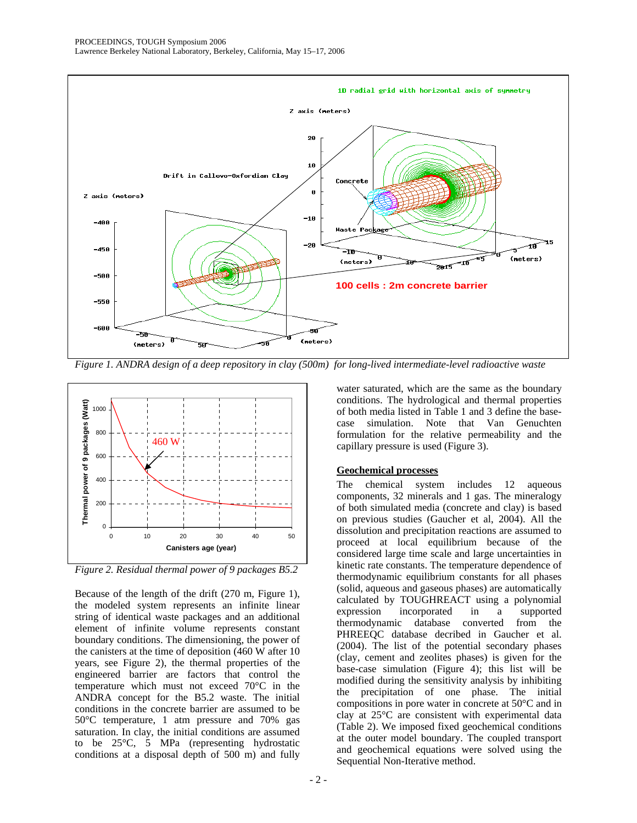<span id="page-1-0"></span>

*Figure 1. ANDRA design of a deep repository in clay (500m) for long-lived intermediate-level radioactive waste* 



<span id="page-1-1"></span>*Figure 2. Residual thermal power of 9 packages B5.2*

Because of the length of the drift (270 m, [Figure 1\)](#page-1-0), the modeled system represents an infinite linear string of identical waste packages and an additional element of infinite volume represents constant boundary conditions. The dimensioning, the power of the canisters at the time of deposition (460 W after 10 years, see [Figure 2\)](#page-1-1), the thermal properties of the engineered barrier are factors that control the temperature which must not exceed 70°C in the ANDRA concept for the B5.2 waste. The initial conditions in the concrete barrier are assumed to be 50°C temperature, 1 atm pressure and 70% gas saturation. In clay, the initial conditions are assumed to be 25°C, 5 MPa (representing hydrostatic conditions at a disposal depth of 500 m) and fully

water saturated, which are the same as the boundary conditions. The hydrological and thermal properties of both media listed in Table 1 and 3 define the basecase simulation. Note that Van Genuchten formulation for the relative permeability and the

### **Geochemical processes**

The chemical system includes 12 aqueous components, 32 minerals and 1 gas. The mineralogy of both simulated media (concrete and clay) is based on previous studies (Gaucher et al, 2004). All the dissolution and precipitation reactions are assumed to proceed at local equilibrium because of the considered large time scale and large uncertainties in kinetic rate constants. The temperature dependence of thermodynamic equilibrium constants for all phases (solid, aqueous and gaseous phases) are automatically calculated by TOUGHREACT using a polynomial expression incorporated in a supported thermodynamic database converted from the PHREEQC database decribed in Gaucher et al. (2004). The list of the potential secondary phases (clay, cement and zeolites phases) is given for the base-case simulation [\(Figure 4\)](#page-2-1); this list will be modified during the sensitivity analysis by inhibiting the precipitation of one phase. The initial compositions in pore water in concrete at 50°C and in clay at 25°C are consistent with experimental data (Table 2). We imposed fixed geochemical conditions at the outer model boundary. The coupled transport and geochemical equations were solved using the Sequential Non-Iterative method.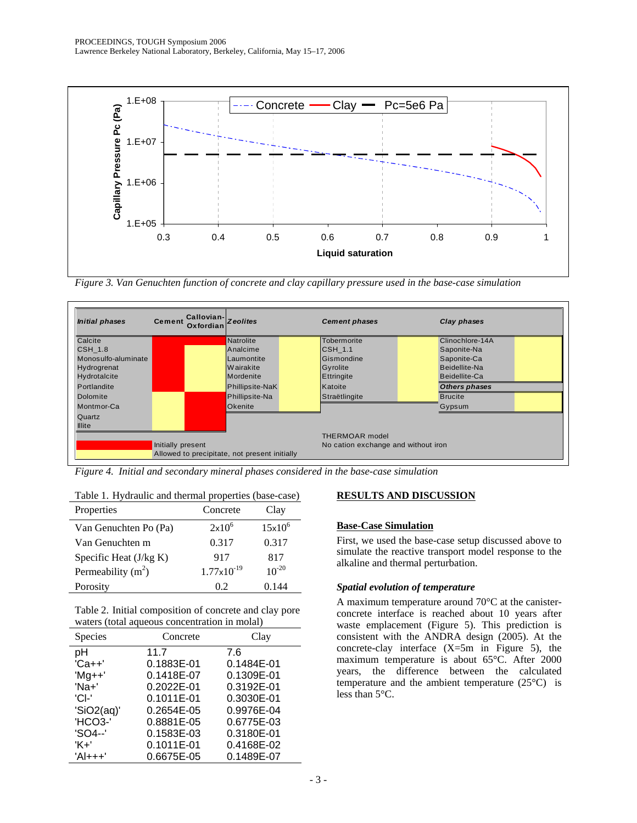<span id="page-2-0"></span>

*Figure 3. Van Genuchten function of concrete and clay capillary pressure used in the base-case simulation*

<span id="page-2-1"></span>

*Figure 4. Initial and secondary mineral phases considered in the base-case simulation*

Table 1. Hydraulic and thermal properties (base-case)

| Properties               | Concrete               | Clay       |
|--------------------------|------------------------|------------|
| Van Genuchten Po (Pa)    | $2x10^6$               | $15x10^6$  |
| Van Genuchten m          | 0.317                  | 0.317      |
| Specific Heat $(J/kg K)$ | 917                    | 817        |
| Permeability $(m2)$      | $1.77 \times 10^{-19}$ | $10^{-20}$ |
| Porosity                 | 02                     | 0 144      |

Table 2. Initial composition of concrete and clay pore waters (total aqueous concentration in molal)

| Species    | Concrete   | Clay       |
|------------|------------|------------|
| рH         | 11.7       | 7.6        |
| $'$ Ca++'  | 0.1883E-01 | 0.1484E-01 |
| $'Mg++'$   | 0.1418E-07 | 0.1309E-01 |
| 'Na+'      | 0.2022E-01 | 0.3192E-01 |
| 'CI-'      | 0.1011E-01 | 0.3030E-01 |
| 'SiO2(aq)' | 0.2654E-05 | 0.9976E-04 |
| 'HCO3-'    | 0.8881E-05 | 0.6775E-03 |
| 'SO4--'    | 0.1583E-03 | 0.3180E-01 |
| $K +$      | 0.1011E-01 | 0.4168E-02 |
| $'$ Al+++' | 0.6675E-05 | 0.1489E-07 |

### **RESULTS AND DISCUSSION**

### **Base-Case Simulation**

First, we used the base-case setup discussed above to simulate the reactive transport model response to the alkaline and thermal perturbation.

### *Spatial evolution of temperature*

A maximum temperature around 70°C at the canisterconcrete interface is reached about 10 years after waste emplacement ([Figure 5\)](#page-3-0). This prediction is consistent with the ANDRA design (2005). At the concrete-clay interface (X=5m in [Figure 5\)](#page-3-0), the maximum temperature is about 65°C. After 2000 years, the difference between the calculated temperature and the ambient temperature  $(25^{\circ}C)$  is less than 5°C.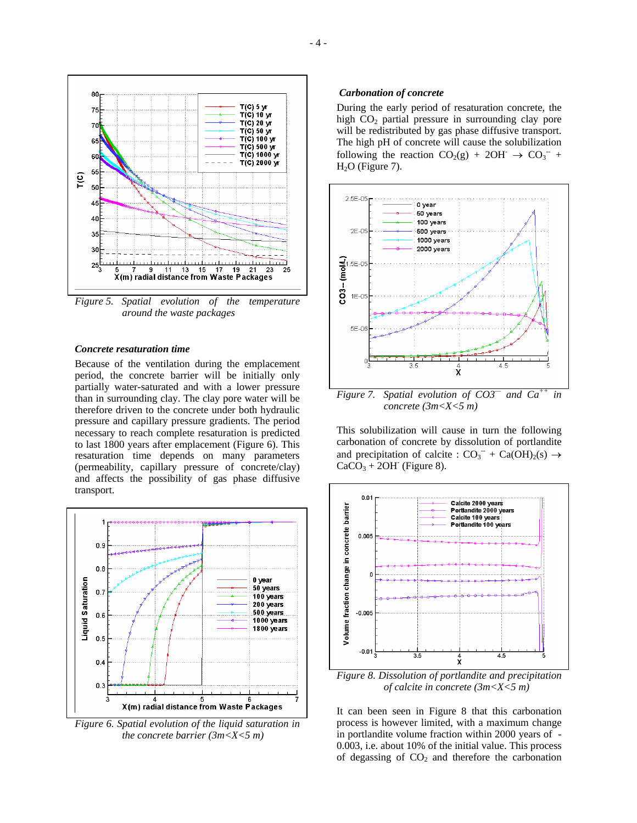

*Figure 5. Spatial evolution of the temperature around the waste packages* 

X(m) radial distance from Waste Packages

 $17$ 

19 21  $\overline{23}$ 

25

### *Concrete resaturation time*

9  $11$ 13 15

<span id="page-3-0"></span>80

75

70

65

60

55  $T(C)$ 50

 $4<sup>1</sup>$ 

40

35

30

 $25$ 

Because of the ventilation during the emplacement period, the concrete barrier will be initially only partially water-saturated and with a lower pressure than in surrounding clay. The clay pore water will be therefore driven to the concrete under both hydraulic pressure and capillary pressure gradients. The period necessary to reach complete resaturation is predicted to last 1800 years after emplacement [\(Figure 6\)](#page-3-1). This resaturation time depends on many parameters (permeability, capillary pressure of concrete/clay) and affects the possibility of gas phase diffusive transport.

<span id="page-3-1"></span>

*Figure 6. Spatial evolution of the liquid saturation in the concrete barrier (3m<X<5 m)*

#### *Carbonation of concrete*

During the early period of resaturation concrete, the high  $CO<sub>2</sub>$  partial pressure in surrounding clay pore will be redistributed by gas phase diffusive transport. The high pH of concrete will cause the solubilization following the reaction  $CO<sub>2</sub>(g) + 2OH^- \rightarrow CO<sub>3</sub><sup>-</sup> +$  $H<sub>2</sub>O$  [\(Figure 7\)](#page-3-2).

<span id="page-3-2"></span>

*concrete (3m<X<5 m)*

This solubilization will cause in turn the following carbonation of concrete by dissolution of portlandite and precipitation of calcite :  $CO_3^- + Ca(OH)_2(s) \rightarrow$  $CaCO<sub>3</sub> + 2OH$  [\(Figure 8\)](#page-3-3).

<span id="page-3-3"></span>

*Figure 8. Dissolution of portlandite and precipitation of calcite in concrete (3m<X<5 m)*

It can been seen in [Figure 8](#page-3-3) that this carbonation process is however limited, with a maximum change in portlandite volume fraction within 2000 years of - 0.003, i.e. about 10% of the initial value. This process of degassing of  $CO<sub>2</sub>$  and therefore the carbonation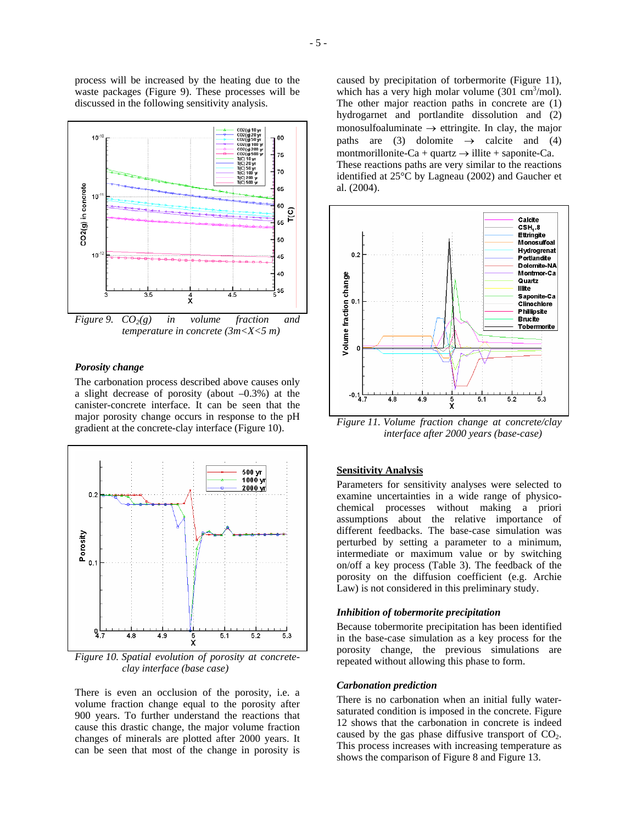process will be increased by the heating due to the waste packages [\(Figure 9\)](#page-4-0). These processes will be discussed in the following sensitivity analysis.

<span id="page-4-0"></span>

*Figure 9.*  $CO_2(g)$  *in volume fraction and temperature in concrete (3m<X<5 m)*

#### *Porosity change*

The carbonation process described above causes only a slight decrease of porosity (about –0.3%) at the canister-concrete interface. It can be seen that the major porosity change occurs in response to the pH gradient at the concrete-clay interface ([Figure 10\)](#page-4-1).

<span id="page-4-1"></span>

*Figure 10. Spatial evolution of porosity at concreteclay interface (base case)*

There is even an occlusion of the porosity, i.e. a volume fraction change equal to the porosity after 900 years. To further understand the reactions that cause this drastic change, the major volume fraction changes of minerals are plotted after 2000 years. It can be seen that most of the change in porosity is

caused by precipitation of torbermorite ([Figure 11\)](#page-4-2), which has a very high molar volume  $(301 \text{ cm}^3/\text{mol})$ . The other major reaction paths in concrete are (1) hydrogarnet and portlandite dissolution and (2) monosulfoaluminate  $\rightarrow$  ettringite. In clay, the major paths are (3) dolomite  $\rightarrow$  calcite and (4) montmorillonite-Ca + quartz  $\rightarrow$  illite + saponite-Ca. These reactions paths are very similar to the reactions identified at 25°C by Lagneau (2002) and Gaucher et al. (2004).



<span id="page-4-2"></span>*Figure 11. Volume fraction change at concrete/clay interface after 2000 years (base-case)*

### **Sensitivity Analysis**

Parameters for sensitivity analyses were selected to examine uncertainties in a wide range of physicochemical processes without making a priori assumptions about the relative importance of different feedbacks. The base-case simulation was perturbed by setting a parameter to a minimum, intermediate or maximum value or by switching on/off a key process (Table 3). The feedback of the porosity on the diffusion coefficient (e.g. Archie Law) is not considered in this preliminary study.

#### *Inhibition of tobermorite precipitation*

Because tobermorite precipitation has been identified in the base-case simulation as a key process for the porosity change, the previous simulations are repeated without allowing this phase to form.

#### *Carbonation prediction*

There is no carbonation when an initial fully watersaturated condition is imposed in the concrete. [Figure](#page-5-0)  [12](#page-5-0) shows that the carbonation in concrete is indeed caused by the gas phase diffusive transport of  $CO<sub>2</sub>$ . This process increases with increasing temperature as shows the comparison of [Figure 8](#page-3-3) and [Figure 13.](#page-5-1)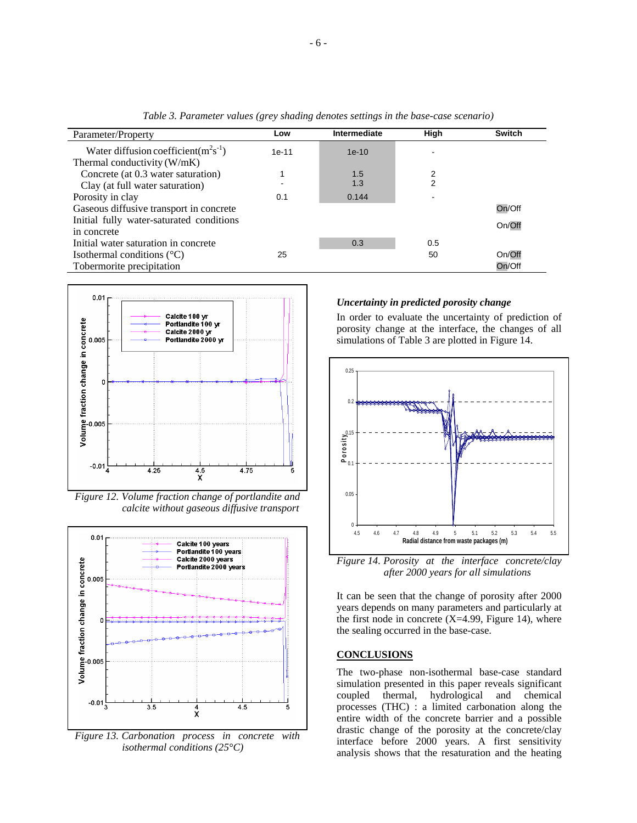| Parameter/Property                                                      | Low     | Intermediate | High | <b>Switch</b> |
|-------------------------------------------------------------------------|---------|--------------|------|---------------|
| Water diffusion coefficient( $m2s-1$ )<br>Thermal conductivity $(W/mK)$ | $1e-11$ | $1e-10$      |      |               |
| Concrete (at 0.3 water saturation)                                      |         | 1.5          | 2    |               |
| Clay (at full water saturation)                                         |         | 1.3          | 2    |               |
| Porosity in clay                                                        | 0.1     | 0.144        |      |               |
| Gaseous diffusive transport in concrete                                 |         |              |      | On/Off        |
| Initial fully water-saturated conditions                                |         |              |      | On/Off        |
| in concrete                                                             |         |              |      |               |
| Initial water saturation in concrete                                    |         | 0.3          | 0.5  |               |
| Isothermal conditions $({}^{\circ}C)$                                   | 25      |              | 50   | On/Off        |
| Tobermorite precipitation                                               |         |              |      | On/Off        |

*Table 3. Parameter values (grey shading denotes settings in the base-case scenario)*

<span id="page-5-0"></span>

*Figure 12. Volume fraction change of portlandite and calcite without gaseous diffusive transport* 

<span id="page-5-1"></span>

*isothermal conditions (25°C)*

### *Uncertainty in predicted porosity change*

In order to evaluate the uncertainty of prediction of porosity change at the interface, the changes of all simulations of Table 3 are plotted in [Figure 14.](#page-5-2)

<span id="page-5-2"></span>

*Figure 14. Porosity at the interface concrete/clay after 2000 years for all simulations* 

It can be seen that the change of porosity after 2000 years depends on many parameters and particularly at the first node in concrete  $(X=4.99,$  [Figure](#page-5-2) 14), where the sealing occurred in the base-case.

#### **CONCLUSIONS**

The two-phase non-isothermal base-case standard simulation presented in this paper reveals significant coupled thermal, hydrological and chemical processes (THC) : a limited carbonation along the entire width of the concrete barrier and a possible drastic change of the porosity at the concrete/clay interface before 2000 years. A first sensitivity analysis shows that the resaturation and the heating